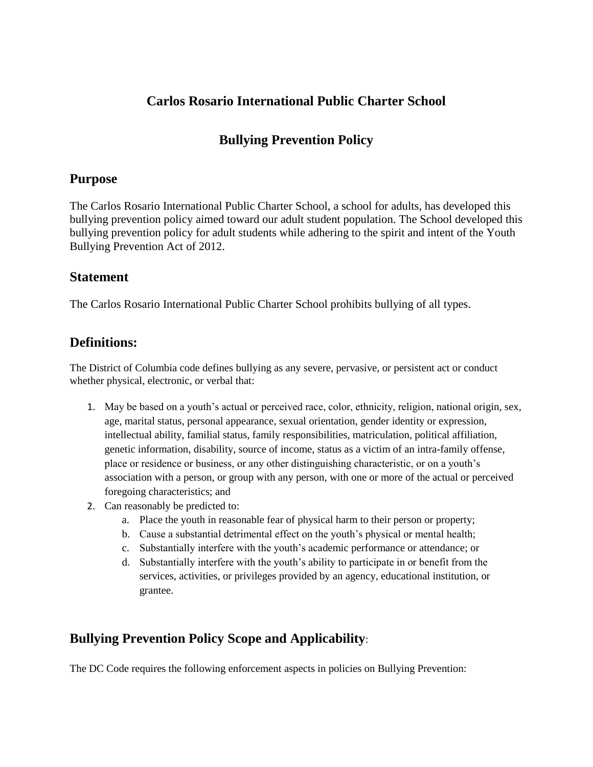## **Carlos Rosario International Public Charter School**

# **Bullying Prevention Policy**

### **Purpose**

The Carlos Rosario International Public Charter School, a school for adults, has developed this bullying prevention policy aimed toward our adult student population. The School developed this bullying prevention policy for adult students while adhering to the spirit and intent of the Youth Bullying Prevention Act of 2012.

### **Statement**

The Carlos Rosario International Public Charter School prohibits bullying of all types.

# **Definitions:**

The District of Columbia code defines bullying as any severe, pervasive, or persistent act or conduct whether physical, electronic, or verbal that:

- 1. May be based on a youth's actual or perceived race, color, ethnicity, religion, national origin, sex, age, marital status, personal appearance, sexual orientation, gender identity or expression, intellectual ability, familial status, family responsibilities, matriculation, political affiliation, genetic information, disability, source of income, status as a victim of an intra-family offense, place or residence or business, or any other distinguishing characteristic, or on a youth's association with a person, or group with any person, with one or more of the actual or perceived foregoing characteristics; and
- 2. Can reasonably be predicted to:
	- a. Place the youth in reasonable fear of physical harm to their person or property;
	- b. Cause a substantial detrimental effect on the youth's physical or mental health;
	- c. Substantially interfere with the youth's academic performance or attendance; or
	- d. Substantially interfere with the youth's ability to participate in or benefit from the services, activities, or privileges provided by an agency, educational institution, or grantee.

# **Bullying Prevention Policy Scope and Applicability**:

The DC Code requires the following enforcement aspects in policies on Bullying Prevention: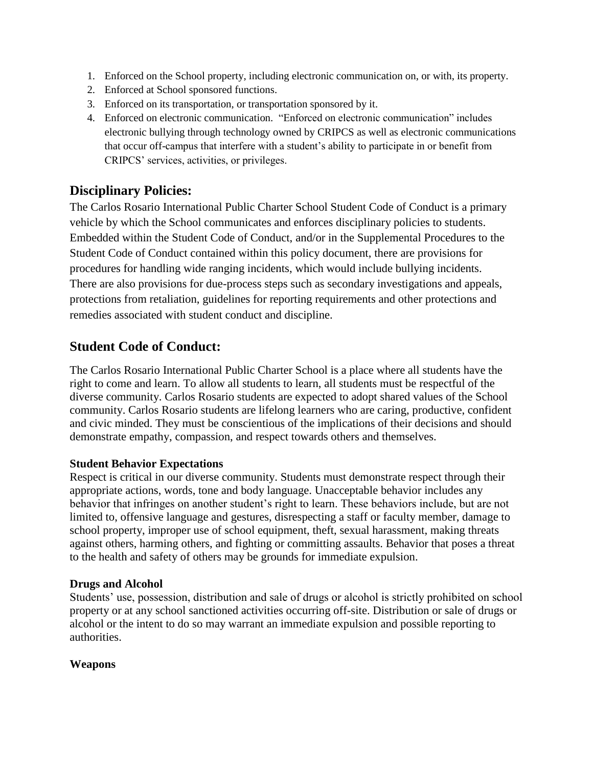- 1. Enforced on the School property, including electronic communication on, or with, its property.
- 2. Enforced at School sponsored functions.
- 3. Enforced on its transportation, or transportation sponsored by it.
- 4. Enforced on electronic communication. "Enforced on electronic communication" includes electronic bullying through technology owned by CRIPCS as well as electronic communications that occur off-campus that interfere with a student's ability to participate in or benefit from CRIPCS' services, activities, or privileges.

### **Disciplinary Policies:**

The Carlos Rosario International Public Charter School Student Code of Conduct is a primary vehicle by which the School communicates and enforces disciplinary policies to students. Embedded within the Student Code of Conduct, and/or in the Supplemental Procedures to the Student Code of Conduct contained within this policy document, there are provisions for procedures for handling wide ranging incidents, which would include bullying incidents. There are also provisions for due-process steps such as secondary investigations and appeals, protections from retaliation, guidelines for reporting requirements and other protections and remedies associated with student conduct and discipline.

## **Student Code of Conduct:**

The Carlos Rosario International Public Charter School is a place where all students have the right to come and learn. To allow all students to learn, all students must be respectful of the diverse community. Carlos Rosario students are expected to adopt shared values of the School community. Carlos Rosario students are lifelong learners who are caring, productive, confident and civic minded. They must be conscientious of the implications of their decisions and should demonstrate empathy, compassion, and respect towards others and themselves.

#### **Student Behavior Expectations**

Respect is critical in our diverse community. Students must demonstrate respect through their appropriate actions, words, tone and body language. Unacceptable behavior includes any behavior that infringes on another student's right to learn. These behaviors include, but are not limited to, offensive language and gestures, disrespecting a staff or faculty member, damage to school property, improper use of school equipment, theft, sexual harassment, making threats against others, harming others, and fighting or committing assaults. Behavior that poses a threat to the health and safety of others may be grounds for immediate expulsion.

#### **Drugs and Alcohol**

Students' use, possession, distribution and sale of drugs or alcohol is strictly prohibited on school property or at any school sanctioned activities occurring off-site. Distribution or sale of drugs or alcohol or the intent to do so may warrant an immediate expulsion and possible reporting to authorities.

#### **Weapons**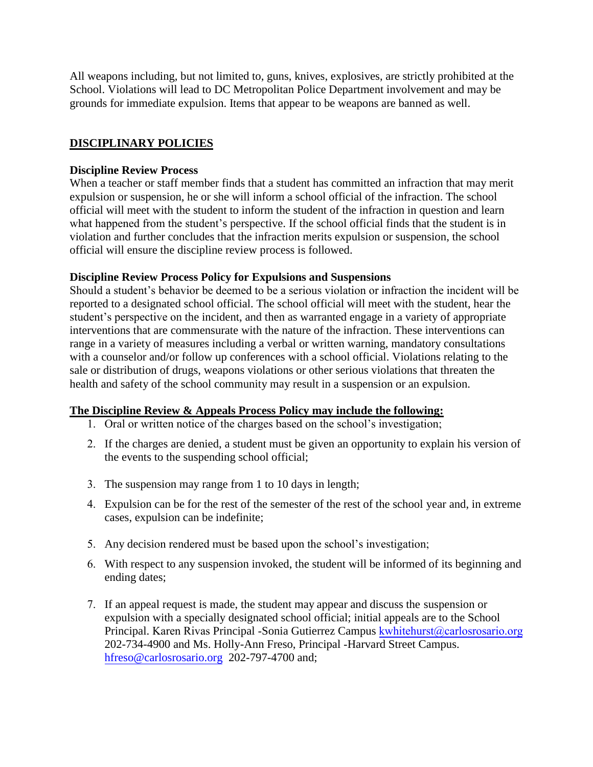All weapons including, but not limited to, guns, knives, explosives, are strictly prohibited at the School. Violations will lead to DC Metropolitan Police Department involvement and may be grounds for immediate expulsion. Items that appear to be weapons are banned as well.

### **DISCIPLINARY POLICIES**

#### **Discipline Review Process**

When a teacher or staff member finds that a student has committed an infraction that may merit expulsion or suspension, he or she will inform a school official of the infraction. The school official will meet with the student to inform the student of the infraction in question and learn what happened from the student's perspective. If the school official finds that the student is in violation and further concludes that the infraction merits expulsion or suspension, the school official will ensure the discipline review process is followed.

#### **Discipline Review Process Policy for Expulsions and Suspensions**

Should a student's behavior be deemed to be a serious violation or infraction the incident will be reported to a designated school official. The school official will meet with the student, hear the student's perspective on the incident, and then as warranted engage in a variety of appropriate interventions that are commensurate with the nature of the infraction. These interventions can range in a variety of measures including a verbal or written warning, mandatory consultations with a counselor and/or follow up conferences with a school official. Violations relating to the sale or distribution of drugs, weapons violations or other serious violations that threaten the health and safety of the school community may result in a suspension or an expulsion.

### **The Discipline Review & Appeals Process Policy may include the following:**

- 1. Oral or written notice of the charges based on the school's investigation;
- 2. If the charges are denied, a student must be given an opportunity to explain his version of the events to the suspending school official;
- 3. The suspension may range from 1 to 10 days in length;
- 4. Expulsion can be for the rest of the semester of the rest of the school year and, in extreme cases, expulsion can be indefinite;
- 5. Any decision rendered must be based upon the school's investigation;
- 6. With respect to any suspension invoked, the student will be informed of its beginning and ending dates;
- 7. If an appeal request is made, the student may appear and discuss the suspension or expulsion with a specially designated school official; initial appeals are to the School Principal. Karen Rivas Principal -Sonia Gutierrez Campus kwhitehurst@carlosrosario.org [202-734-4900 and Ms. Holly](mailto:jdelgado@carlosrosario.org)-Ann Freso, Principal -Harvard Street Campus. [hfreso@carlosrosario.org](mailto:hfreso@carlosrosario.org) 202-797-4700 and;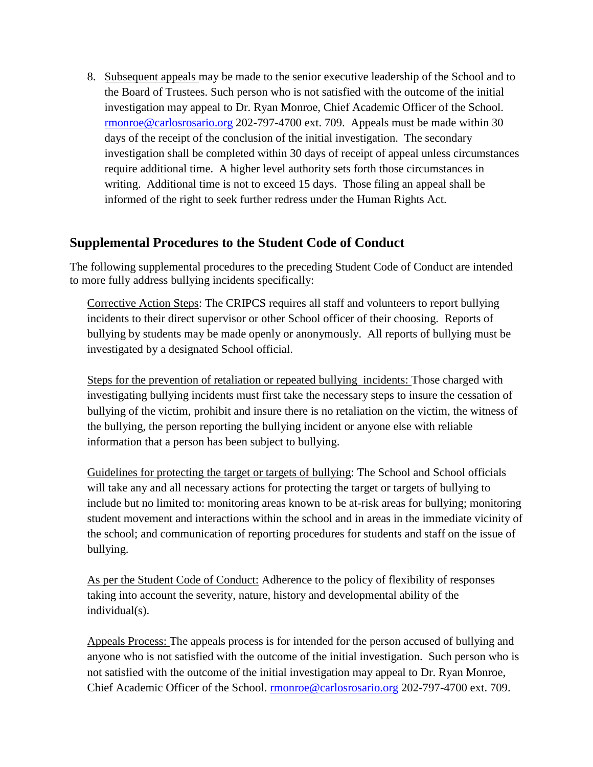8. Subsequent appeals may be made to the senior executive leadership of the School and to the Board of Trustees. Such person who is not satisfied with the outcome of the initial investigation may appeal to Dr. Ryan Monroe, Chief Academic Officer of the School. [rmonroe@carlosrosario.org](mailto:rmonroe@carlosrosario.org) 202-797-4700 ext. 709. Appeals must be made within 30 days of the receipt of the conclusion of the initial investigation. The secondary investigation shall be completed within 30 days of receipt of appeal unless circumstances require additional time. A higher level authority sets forth those circumstances in writing. Additional time is not to exceed 15 days. Those filing an appeal shall be informed of the right to seek further redress under the Human Rights Act.

## **Supplemental Procedures to the Student Code of Conduct**

The following supplemental procedures to the preceding Student Code of Conduct are intended to more fully address bullying incidents specifically:

Corrective Action Steps: The CRIPCS requires all staff and volunteers to report bullying incidents to their direct supervisor or other School officer of their choosing. Reports of bullying by students may be made openly or anonymously. All reports of bullying must be investigated by a designated School official.

Steps for the prevention of retaliation or repeated bullying incidents: Those charged with investigating bullying incidents must first take the necessary steps to insure the cessation of bullying of the victim, prohibit and insure there is no retaliation on the victim, the witness of the bullying, the person reporting the bullying incident or anyone else with reliable information that a person has been subject to bullying.

Guidelines for protecting the target or targets of bullying: The School and School officials will take any and all necessary actions for protecting the target or targets of bullying to include but no limited to: monitoring areas known to be at-risk areas for bullying; monitoring student movement and interactions within the school and in areas in the immediate vicinity of the school; and communication of reporting procedures for students and staff on the issue of bullying.

As per the Student Code of Conduct: Adherence to the policy of flexibility of responses taking into account the severity, nature, history and developmental ability of the individual(s).

Appeals Process: The appeals process is for intended for the person accused of bullying and anyone who is not satisfied with the outcome of the initial investigation. Such person who is not satisfied with the outcome of the initial investigation may appeal to Dr. Ryan Monroe, Chief Academic Officer of the School. [rmonroe@carlosrosario.org](mailto:rmonroe@carlosrosario.org) 202-797-4700 ext. 709.